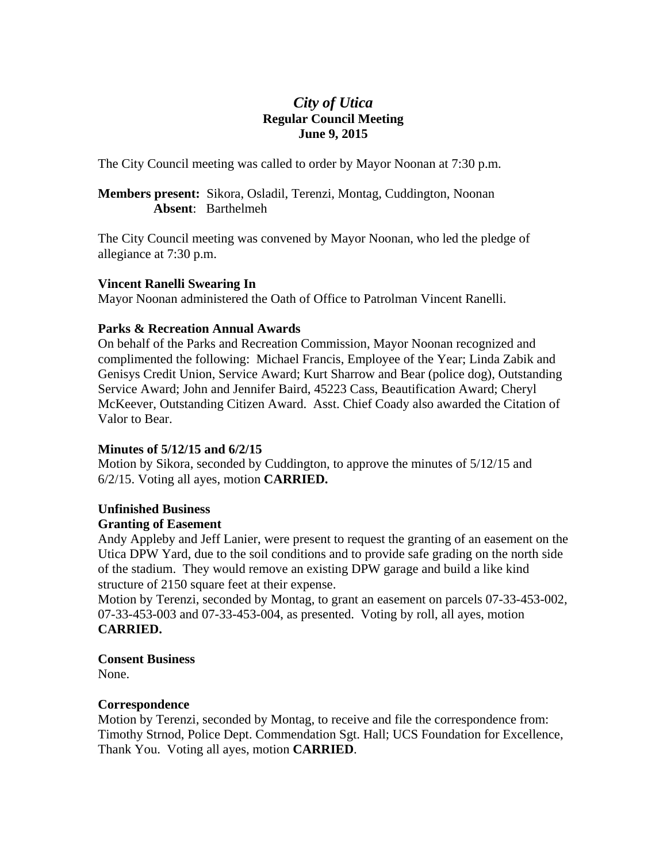# *City of Utica*  **Regular Council Meeting June 9, 2015**

The City Council meeting was called to order by Mayor Noonan at 7:30 p.m.

#### **Members present:** Sikora, Osladil, Terenzi, Montag, Cuddington, Noonan **Absent**: Barthelmeh

The City Council meeting was convened by Mayor Noonan, who led the pledge of allegiance at 7:30 p.m.

#### **Vincent Ranelli Swearing In**

Mayor Noonan administered the Oath of Office to Patrolman Vincent Ranelli.

#### **Parks & Recreation Annual Awards**

On behalf of the Parks and Recreation Commission, Mayor Noonan recognized and complimented the following: Michael Francis, Employee of the Year; Linda Zabik and Genisys Credit Union, Service Award; Kurt Sharrow and Bear (police dog), Outstanding Service Award; John and Jennifer Baird, 45223 Cass, Beautification Award; Cheryl McKeever, Outstanding Citizen Award. Asst. Chief Coady also awarded the Citation of Valor to Bear.

# **Minutes of 5/12/15 and 6/2/15**

Motion by Sikora, seconded by Cuddington, to approve the minutes of 5/12/15 and 6/2/15. Voting all ayes, motion **CARRIED.** 

# **Unfinished Business**

# **Granting of Easement**

Andy Appleby and Jeff Lanier, were present to request the granting of an easement on the Utica DPW Yard, due to the soil conditions and to provide safe grading on the north side of the stadium. They would remove an existing DPW garage and build a like kind structure of 2150 square feet at their expense.

Motion by Terenzi, seconded by Montag, to grant an easement on parcels 07-33-453-002, 07-33-453-003 and 07-33-453-004, as presented. Voting by roll, all ayes, motion **CARRIED.** 

# **Consent Business**

None.

# **Correspondence**

Motion by Terenzi, seconded by Montag, to receive and file the correspondence from: Timothy Strnod, Police Dept. Commendation Sgt. Hall; UCS Foundation for Excellence, Thank You. Voting all ayes, motion **CARRIED**.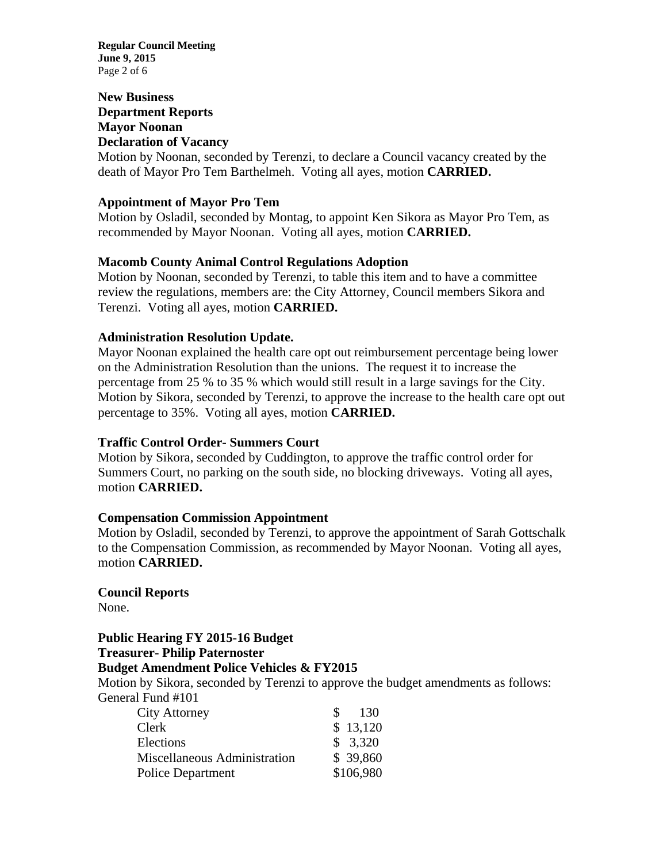**Regular Council Meeting June 9, 2015**  Page 2 of 6

#### **New Business Department Reports Mayor Noonan Declaration of Vacancy**

Motion by Noonan, seconded by Terenzi, to declare a Council vacancy created by the death of Mayor Pro Tem Barthelmeh. Voting all ayes, motion **CARRIED.** 

#### **Appointment of Mayor Pro Tem**

Motion by Osladil, seconded by Montag, to appoint Ken Sikora as Mayor Pro Tem, as recommended by Mayor Noonan. Voting all ayes, motion **CARRIED.** 

#### **Macomb County Animal Control Regulations Adoption**

Motion by Noonan, seconded by Terenzi, to table this item and to have a committee review the regulations, members are: the City Attorney, Council members Sikora and Terenzi. Voting all ayes, motion **CARRIED.** 

#### **Administration Resolution Update.**

Mayor Noonan explained the health care opt out reimbursement percentage being lower on the Administration Resolution than the unions. The request it to increase the percentage from 25 % to 35 % which would still result in a large savings for the City. Motion by Sikora, seconded by Terenzi, to approve the increase to the health care opt out percentage to 35%. Voting all ayes, motion **CARRIED.** 

#### **Traffic Control Order- Summers Court**

Motion by Sikora, seconded by Cuddington, to approve the traffic control order for Summers Court, no parking on the south side, no blocking driveways. Voting all ayes, motion **CARRIED.** 

#### **Compensation Commission Appointment**

Motion by Osladil, seconded by Terenzi, to approve the appointment of Sarah Gottschalk to the Compensation Commission, as recommended by Mayor Noonan. Voting all ayes, motion **CARRIED.** 

#### **Council Reports**

None.

# **Public Hearing FY 2015-16 Budget**

# **Treasurer- Philip Paternoster**

# **Budget Amendment Police Vehicles & FY2015**

Motion by Sikora, seconded by Terenzi to approve the budget amendments as follows: General Fund #101

| <b>City Attorney</b>         | 130       |
|------------------------------|-----------|
| Clerk                        | \$13,120  |
| Elections                    | \$3,320   |
| Miscellaneous Administration | \$ 39,860 |
| Police Department            | \$106,980 |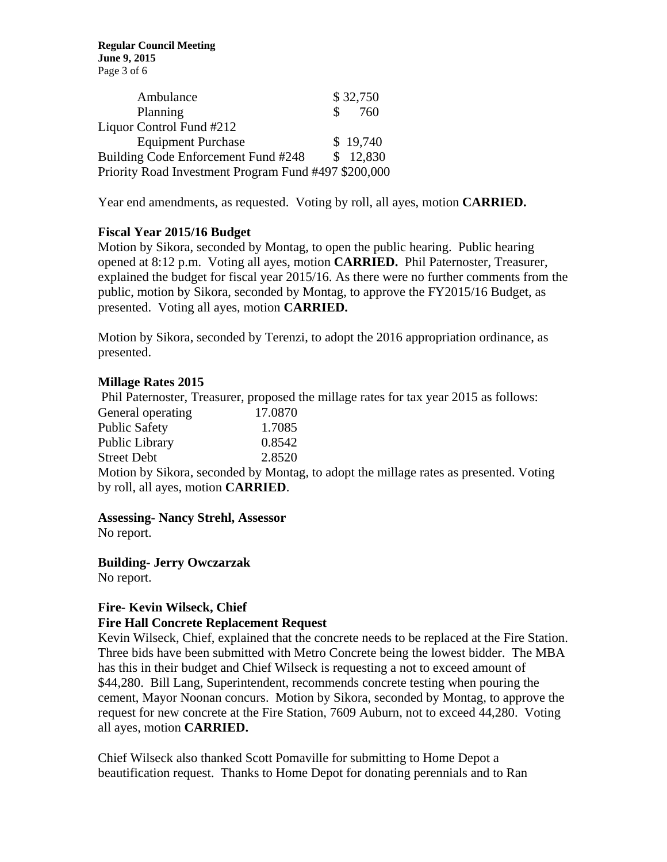**Regular Council Meeting June 9, 2015**  Page 3 of 6

| Ambulance                                            |               | \$32,750 |
|------------------------------------------------------|---------------|----------|
| Planning                                             | $\mathcal{S}$ | 760      |
| Liquor Control Fund #212                             |               |          |
| <b>Equipment Purchase</b>                            |               | \$19,740 |
| Building Code Enforcement Fund #248                  |               | \$12,830 |
| Priority Road Investment Program Fund #497 \$200,000 |               |          |

Year end amendments, as requested. Voting by roll, all ayes, motion **CARRIED.** 

#### **Fiscal Year 2015/16 Budget**

Motion by Sikora, seconded by Montag, to open the public hearing. Public hearing opened at 8:12 p.m. Voting all ayes, motion **CARRIED.** Phil Paternoster, Treasurer, explained the budget for fiscal year 2015/16. As there were no further comments from the public, motion by Sikora, seconded by Montag, to approve the FY2015/16 Budget, as presented. Voting all ayes, motion **CARRIED.** 

Motion by Sikora, seconded by Terenzi, to adopt the 2016 appropriation ordinance, as presented.

#### **Millage Rates 2015**

 Phil Paternoster, Treasurer, proposed the millage rates for tax year 2015 as follows: General operating 17.0870 Public Safety 1.7085  $\frac{1}{2}$  Dublic Library 0.8542

| PUDIIC LIDIATY | 0.8342 |
|----------------|--------|
| Street Debt    | 2.8520 |

Motion by Sikora, seconded by Montag, to adopt the millage rates as presented. Voting by roll, all ayes, motion **CARRIED**.

**Assessing- Nancy Strehl, Assessor** 

No report.

**Building- Jerry Owczarzak**  No report.

#### **Fire- Kevin Wilseck, Chief Fire Hall Concrete Replacement Request**

Kevin Wilseck, Chief, explained that the concrete needs to be replaced at the Fire Station. Three bids have been submitted with Metro Concrete being the lowest bidder. The MBA has this in their budget and Chief Wilseck is requesting a not to exceed amount of \$44,280. Bill Lang, Superintendent, recommends concrete testing when pouring the cement, Mayor Noonan concurs. Motion by Sikora, seconded by Montag, to approve the request for new concrete at the Fire Station, 7609 Auburn, not to exceed 44,280. Voting all ayes, motion **CARRIED.**

Chief Wilseck also thanked Scott Pomaville for submitting to Home Depot a beautification request. Thanks to Home Depot for donating perennials and to Ran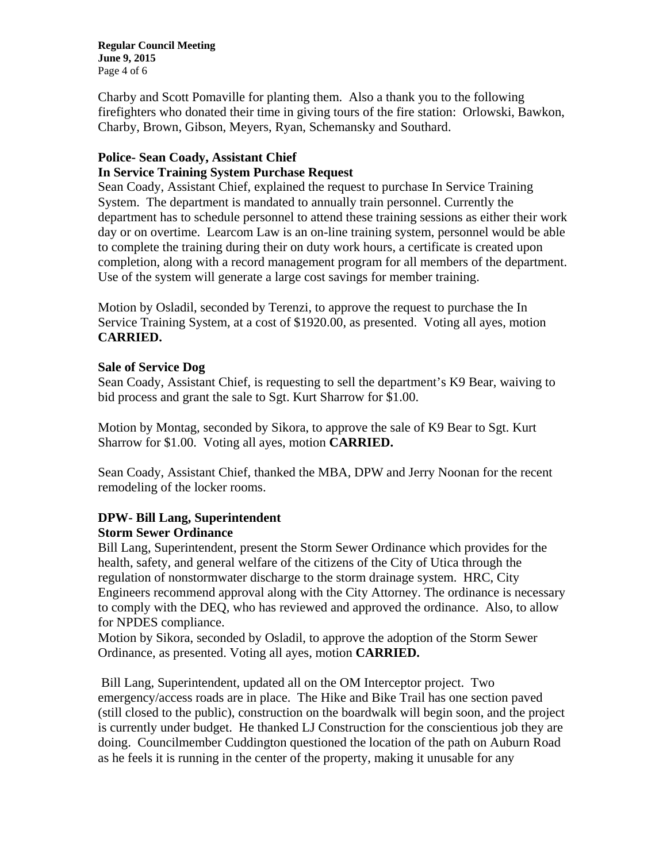**Regular Council Meeting June 9, 2015**  Page 4 of 6

Charby and Scott Pomaville for planting them. Also a thank you to the following firefighters who donated their time in giving tours of the fire station: Orlowski, Bawkon, Charby, Brown, Gibson, Meyers, Ryan, Schemansky and Southard.

# **Police- Sean Coady, Assistant Chief**

#### **In Service Training System Purchase Request**

Sean Coady, Assistant Chief, explained the request to purchase In Service Training System. The department is mandated to annually train personnel. Currently the department has to schedule personnel to attend these training sessions as either their work day or on overtime. Learcom Law is an on-line training system, personnel would be able to complete the training during their on duty work hours, a certificate is created upon completion, along with a record management program for all members of the department. Use of the system will generate a large cost savings for member training.

Motion by Osladil, seconded by Terenzi, to approve the request to purchase the In Service Training System, at a cost of \$1920.00, as presented. Voting all ayes, motion **CARRIED.** 

# **Sale of Service Dog**

Sean Coady, Assistant Chief, is requesting to sell the department's K9 Bear, waiving to bid process and grant the sale to Sgt. Kurt Sharrow for \$1.00.

Motion by Montag, seconded by Sikora, to approve the sale of K9 Bear to Sgt. Kurt Sharrow for \$1.00. Voting all ayes, motion **CARRIED.** 

Sean Coady, Assistant Chief, thanked the MBA, DPW and Jerry Noonan for the recent remodeling of the locker rooms.

# **DPW- Bill Lang, Superintendent Storm Sewer Ordinance**

Bill Lang, Superintendent, present the Storm Sewer Ordinance which provides for the health, safety, and general welfare of the citizens of the City of Utica through the regulation of nonstormwater discharge to the storm drainage system. HRC, City Engineers recommend approval along with the City Attorney. The ordinance is necessary to comply with the DEQ, who has reviewed and approved the ordinance. Also, to allow for NPDES compliance.

Motion by Sikora, seconded by Osladil, to approve the adoption of the Storm Sewer Ordinance, as presented. Voting all ayes, motion **CARRIED.** 

 Bill Lang, Superintendent, updated all on the OM Interceptor project. Two emergency/access roads are in place. The Hike and Bike Trail has one section paved (still closed to the public), construction on the boardwalk will begin soon, and the project is currently under budget. He thanked LJ Construction for the conscientious job they are doing. Councilmember Cuddington questioned the location of the path on Auburn Road as he feels it is running in the center of the property, making it unusable for any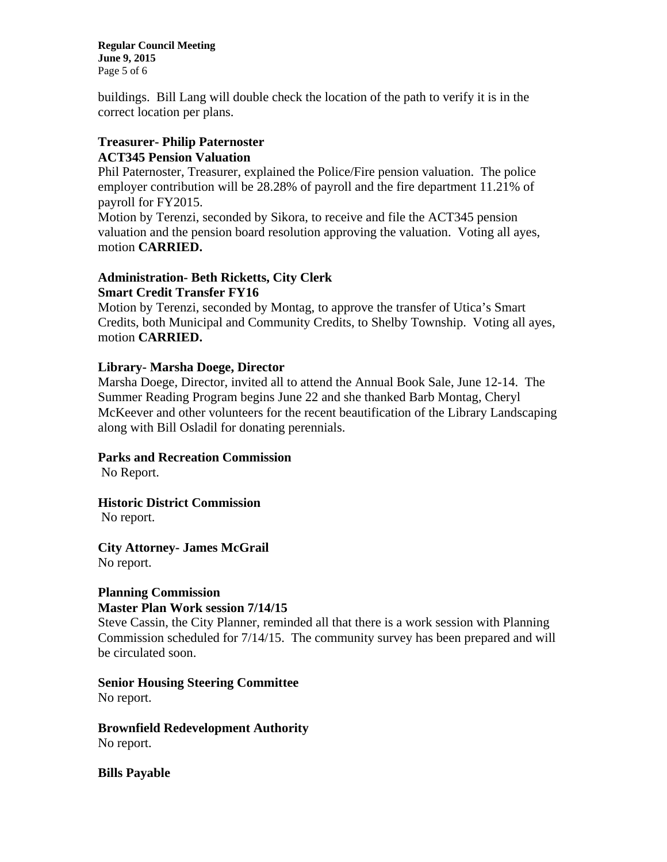**Regular Council Meeting June 9, 2015**  Page 5 of 6

buildings. Bill Lang will double check the location of the path to verify it is in the correct location per plans.

# **Treasurer- Philip Paternoster ACT345 Pension Valuation**

Phil Paternoster, Treasurer, explained the Police/Fire pension valuation. The police employer contribution will be 28.28% of payroll and the fire department 11.21% of payroll for FY2015.

Motion by Terenzi, seconded by Sikora, to receive and file the ACT345 pension valuation and the pension board resolution approving the valuation. Voting all ayes, motion **CARRIED.** 

# **Administration- Beth Ricketts, City Clerk Smart Credit Transfer FY16**

Motion by Terenzi, seconded by Montag, to approve the transfer of Utica's Smart Credits, both Municipal and Community Credits, to Shelby Township. Voting all ayes, motion **CARRIED.** 

# **Library- Marsha Doege, Director**

Marsha Doege, Director, invited all to attend the Annual Book Sale, June 12-14. The Summer Reading Program begins June 22 and she thanked Barb Montag, Cheryl McKeever and other volunteers for the recent beautification of the Library Landscaping along with Bill Osladil for donating perennials.

# **Parks and Recreation Commission**

No Report.

# **Historic District Commission**

No report.

**City Attorney- James McGrail**  No report.

#### **Planning Commission Master Plan Work session 7/14/15**

Steve Cassin, the City Planner, reminded all that there is a work session with Planning Commission scheduled for 7/14/15. The community survey has been prepared and will be circulated soon.

# **Senior Housing Steering Committee**

No report.

**Brownfield Redevelopment Authority**  No report.

**Bills Payable**